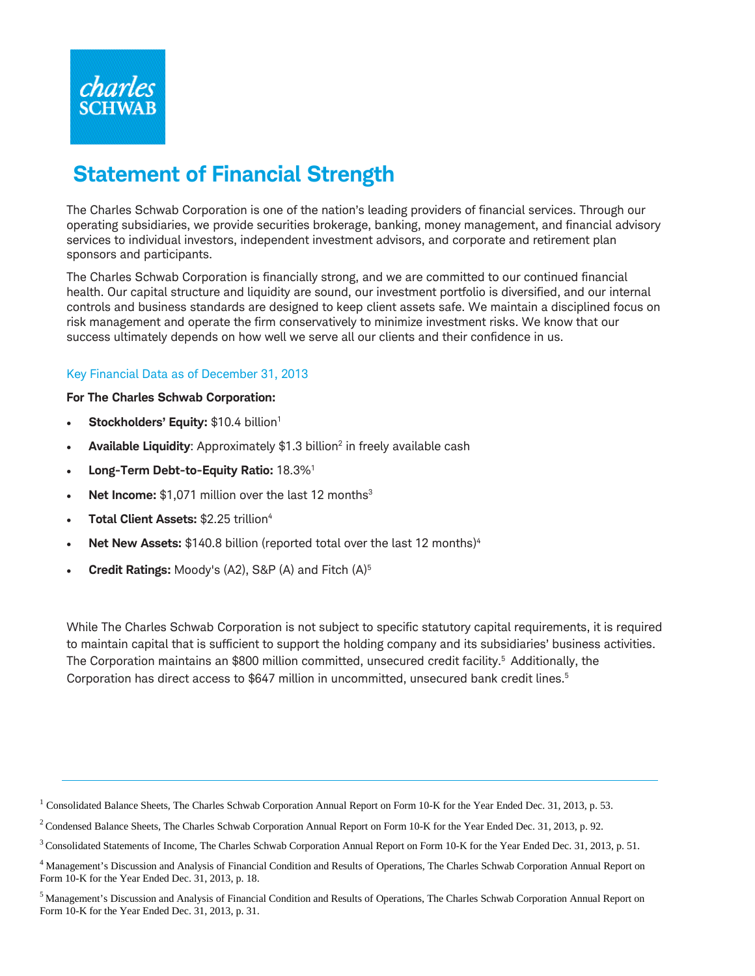

# **Statement of Financial Strength**

The Charles Schwab Corporation is one of the nation's leading providers of financial services. Through our operating subsidiaries, we provide securities brokerage, banking, money management, and financial advisory services to individual investors, independent investment advisors, and corporate and retirement plan sponsors and participants.

The Charles Schwab Corporation is financially strong, and we are committed to our continued financial health. Our capital structure and liquidity are sound, our investment portfolio is diversified, and our internal controls and business standards are designed to keep client assets safe. We maintain a disciplined focus on risk management and operate the firm conservatively to minimize investment risks. We know that our success ultimately depends on how well we serve all our clients and their confidence in us.

## Key Financial Data as of December 31, 2013

#### **For The Charles Schwab Corporation:**

- **Stockholders' Equity: \$10.4 billion<sup>1</sup>**
- Available Liquidity: Approximately \$1.3 billion<sup>2</sup> in freely available cash
- **Long-Term Debt-to-Equity Ratio:** 18.3%1
- **Net Income:** \$1,071 million over the last 12 months<sup>3</sup>
- **Total Client Assets:** \$2.25 trillion4
- **Net New Assets:** \$140.8 billion (reported total over the last 12 months)<sup>4</sup>
- **Credit Ratings:** Moody's (A2), S&P (A) and Fitch (A)5

While The Charles Schwab Corporation is not subject to specific statutory capital requirements, it is required to maintain capital that is sufficient to support the holding company and its subsidiaries' business activities. The Corporation maintains an \$800 million committed, unsecured credit facility.<sup>5</sup> Additionally, the Corporation has direct access to \$647 million in uncommitted, unsecured bank credit lines. 5

<sup>&</sup>lt;sup>1</sup> Consolidated Balance Sheets, The Charles Schwab Corporation Annual Report on Form 10-K for the Year Ended Dec. 31, 2013, p. 53.

 $2$  Condensed Balance Sheets, The Charles Schwab Corporation Annual Report on Form 10-K for the Year Ended Dec. 31, 2013, p. 92.

<sup>&</sup>lt;sup>3</sup> Consolidated Statements of Income, The Charles Schwab Corporation Annual Report on Form 10-K for the Year Ended Dec. 31, 2013, p. 51.

<sup>&</sup>lt;sup>4</sup> Management's Discussion and Analysis of Financial Condition and Results of Operations, The Charles Schwab Corporation Annual Report on Form 10-K for the Year Ended Dec. 31, 2013, p. 18.

<sup>&</sup>lt;sup>5</sup> Management's Discussion and Analysis of Financial Condition and Results of Operations, The Charles Schwab Corporation Annual Report on Form 10-K for the Year Ended Dec. 31, 2013, p. 31.